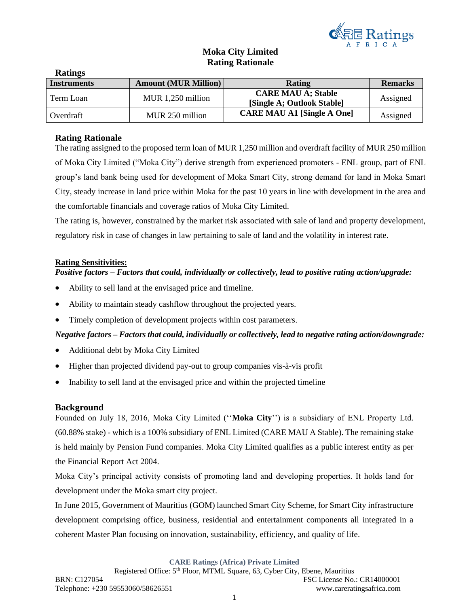

# **Moka City Limited Rating Rationale**

| Raumgo             |                             |                                                         |                |
|--------------------|-----------------------------|---------------------------------------------------------|----------------|
| <b>Instruments</b> | <b>Amount (MUR Million)</b> | Rating                                                  | <b>Remarks</b> |
| Term Loan          | MUR 1,250 million           | <b>CARE MAU A; Stable</b><br>[Single A; Outlook Stable] | Assigned       |
| Overdraft          | MUR 250 million             | <b>CARE MAU A1 [Single A One]</b>                       | Assigned       |

### **Rating Rationale**

**Ratings**

The rating assigned to the proposed term loan of MUR 1,250 million and overdraft facility of MUR 250 million of Moka City Limited ("Moka City") derive strength from experienced promoters - ENL group, part of ENL group's land bank being used for development of Moka Smart City, strong demand for land in Moka Smart City, steady increase in land price within Moka for the past 10 years in line with development in the area and the comfortable financials and coverage ratios of Moka City Limited.

The rating is, however, constrained by the market risk associated with sale of land and property development, regulatory risk in case of changes in law pertaining to sale of land and the volatility in interest rate.

#### **Rating Sensitivities:**

#### *Positive factors – Factors that could, individually or collectively, lead to positive rating action/upgrade:*

- Ability to sell land at the envisaged price and timeline.
- Ability to maintain steady cashflow throughout the projected years.
- Timely completion of development projects within cost parameters.

#### *Negative factors – Factors that could, individually or collectively, lead to negative rating action/downgrade:*

- Additional debt by Moka City Limited
- Higher than projected dividend pay-out to group companies vis-à-vis profit
- Inability to sell land at the envisaged price and within the projected timeline

#### **Background**

Founded on July 18, 2016, Moka City Limited (''**Moka City**'') is a subsidiary of ENL Property Ltd. (60.88% stake) - which is a 100% subsidiary of ENL Limited (CARE MAU A Stable). The remaining stake is held mainly by Pension Fund companies. Moka City Limited qualifies as a public interest entity as per the Financial Report Act 2004.

Moka City's principal activity consists of promoting land and developing properties. It holds land for development under the Moka smart city project.

In June 2015, Government of Mauritius (GOM) launched Smart City Scheme, for Smart City infrastructure development comprising office, business, residential and entertainment components all integrated in a coherent Master Plan focusing on innovation, sustainability, efficiency, and quality of life.

**CARE Ratings (Africa) Private Limited**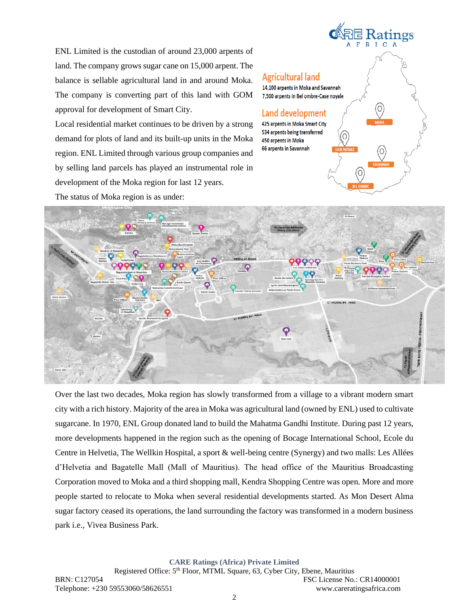ENL Limited is the custodian of around 23,000 arpents of land. The company grows sugar cane on 15,000 arpent. The balance is sellable agricultural land in and around Moka. The company is converting part of this land with GOM approval for development of Smart City.

Local residential market continues to be driven by a strong demand for plots of land and its built-up units in the Moka region. ENL Limited through various group companies and by selling land parcels has played an instrumental role in development of the Moka region for last 12 years.

The status of Moka region is as under:

# **置 Ratings Agricultural land** 14.100 arpents in Moka and Savannah 7,500 arpents in Bel ombre-Case noyale Land development 425 arpents in Moka Smart City 534 arpents being transferred 450 arpents in Moka 66 arpents in Savannah



Over the last two decades, Moka region has slowly transformed from a village to a vibrant modern smart city with a rich history. Majority of the area in Moka was agricultural land (owned by ENL) used to cultivate sugarcane. In 1970, ENL Group donated land to build the Mahatma Gandhi Institute. During past 12 years, more developments happened in the region such as the opening of Bocage International School, Ecole du Centre in Helvetia, The Wellkin Hospital, a sport & well-being centre (Synergy) and two malls: Les Allées d'Helvetia and Bagatelle Mall (Mall of Mauritius). The head office of the Mauritius Broadcasting Corporation moved to Moka and a third shopping mall, Kendra Shopping Centre was open. More and more people started to relocate to Moka when several residential developments started. As Mon Desert Alma sugar factory ceased its operations, the land surrounding the factory was transformed in a modern business park i.e., Vivea Business Park.

**CARE Ratings (Africa) Private Limited**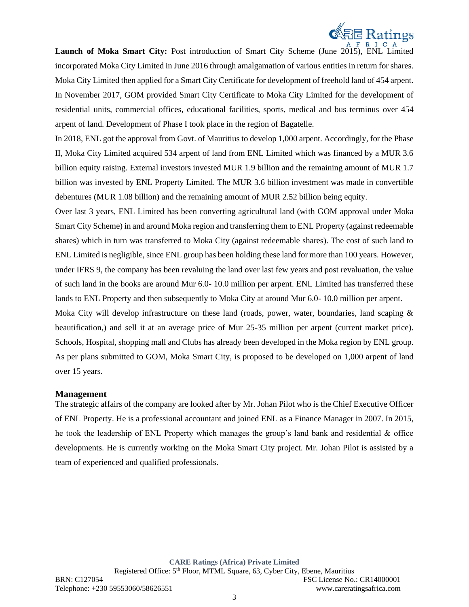

Launch of Moka Smart City: Post introduction of Smart City Scheme (June 2015), ENL Limited incorporated Moka City Limited in June 2016 through amalgamation of various entities in return for shares. Moka City Limited then applied for a Smart City Certificate for development of freehold land of 454 arpent. In November 2017, GOM provided Smart City Certificate to Moka City Limited for the development of residential units, commercial offices, educational facilities, sports, medical and bus terminus over 454 arpent of land. Development of Phase I took place in the region of Bagatelle.

In 2018, ENL got the approval from Govt. of Mauritius to develop 1,000 arpent. Accordingly, for the Phase II, Moka City Limited acquired 534 arpent of land from ENL Limited which was financed by a MUR 3.6 billion equity raising. External investors invested MUR 1.9 billion and the remaining amount of MUR 1.7 billion was invested by ENL Property Limited. The MUR 3.6 billion investment was made in convertible debentures (MUR 1.08 billion) and the remaining amount of MUR 2.52 billion being equity.

Over last 3 years, ENL Limited has been converting agricultural land (with GOM approval under Moka Smart City Scheme) in and around Moka region and transferring them to ENL Property (against redeemable shares) which in turn was transferred to Moka City (against redeemable shares). The cost of such land to ENL Limited is negligible, since ENL group has been holding these land for more than 100 years. However, under IFRS 9, the company has been revaluing the land over last few years and post revaluation, the value of such land in the books are around Mur 6.0- 10.0 million per arpent. ENL Limited has transferred these lands to ENL Property and then subsequently to Moka City at around Mur 6.0- 10.0 million per arpent.

Moka City will develop infrastructure on these land (roads, power, water, boundaries, land scaping & beautification,) and sell it at an average price of Mur 25-35 million per arpent (current market price). Schools, Hospital, shopping mall and Clubs has already been developed in the Moka region by ENL group. As per plans submitted to GOM, Moka Smart City, is proposed to be developed on 1,000 arpent of land over 15 years.

#### **Management**

The strategic affairs of the company are looked after by Mr. Johan Pilot who is the Chief Executive Officer of ENL Property. He is a professional accountant and joined ENL as a Finance Manager in 2007. In 2015, he took the leadership of ENL Property which manages the group's land bank and residential & office developments. He is currently working on the Moka Smart City project. Mr. Johan Pilot is assisted by a team of experienced and qualified professionals.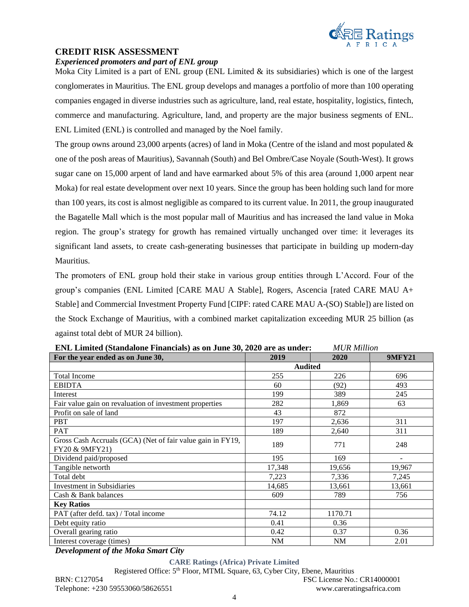

## **CREDIT RISK ASSESSMENT**

*Experienced promoters and part of ENL group* Moka City Limited is a part of ENL group (ENL Limited & its subsidiaries) which is one of the largest conglomerates in Mauritius. The ENL group develops and manages a portfolio of more than 100 operating companies engaged in diverse industries such as agriculture, land, real estate, hospitality, logistics, fintech,

commerce and manufacturing. Agriculture, land, and property are the major business segments of ENL. ENL Limited (ENL) is controlled and managed by the Noel family.

The group owns around 23,000 arpents (acres) of land in Moka (Centre of the island and most populated  $\&$ one of the posh areas of Mauritius), Savannah (South) and Bel Ombre/Case Noyale (South-West). It grows sugar cane on 15,000 arpent of land and have earmarked about 5% of this area (around 1,000 arpent near Moka) for real estate development over next 10 years. Since the group has been holding such land for more than 100 years, its cost is almost negligible as compared to its current value. In 2011, the group inaugurated the Bagatelle Mall which is the most popular mall of Mauritius and has increased the land value in Moka region. The group's strategy for growth has remained virtually unchanged over time: it leverages its significant land assets, to create cash-generating businesses that participate in building up modern-day Mauritius.

The promoters of ENL group hold their stake in various group entities through L'Accord. Four of the group's companies (ENL Limited [CARE MAU A Stable], Rogers, Ascencia [rated CARE MAU A+ Stable] and Commercial Investment Property Fund [CIPF: rated CARE MAU A-(SO) Stable]) are listed on the Stock Exchange of Mauritius, with a combined market capitalization exceeding MUR 25 billion (as against total debt of MUR 24 billion).

| For the year ended as on June 30,                                            | 2019           | 2020    | <b>9MFY21</b> |
|------------------------------------------------------------------------------|----------------|---------|---------------|
|                                                                              | <b>Audited</b> |         |               |
| <b>Total Income</b>                                                          | 255            | 226     | 696           |
| <b>EBIDTA</b>                                                                | 60             | (92)    | 493           |
| Interest                                                                     | 199            | 389     | 245           |
| Fair value gain on revaluation of investment properties                      | 282            | 1,869   | 63            |
| Profit on sale of land                                                       | 43             | 872     |               |
| <b>PBT</b>                                                                   | 197            | 2,636   | 311           |
| <b>PAT</b>                                                                   | 189            | 2,640   | 311           |
| Gross Cash Accruals (GCA) (Net of fair value gain in FY19,<br>FY20 & 9MFY21) | 189            | 771     | 248           |
| Dividend paid/proposed                                                       | 195            | 169     |               |
| Tangible networth                                                            | 17,348         | 19,656  | 19,967        |
| Total debt                                                                   | 7,223          | 7,336   | 7,245         |
| <b>Investment</b> in Subsidiaries                                            | 14,685         | 13,661  | 13,661        |
| Cash & Bank balances                                                         | 609            | 789     | 756           |
| <b>Key Ratios</b>                                                            |                |         |               |
| PAT (after defd. tax) / Total income                                         | 74.12          | 1170.71 |               |
| Debt equity ratio                                                            | 0.41           | 0.36    |               |
| Overall gearing ratio                                                        | 0.42           | 0.37    | 0.36          |
| Interest coverage (times)                                                    | NM             | NM      | 2.01          |

**ENL Limited (Standalone Financials) as on June 30, 2020 are as under:** *MUR Million*

*Development of the Moka Smart City*

**CARE Ratings (Africa) Private Limited** Registered Office: 5th Floor, MTML Square, 63, Cyber City, Ebene, Mauritius BRN: C127054 FSC License No.: CR14000001 Telephone: +230 59553060/58626551 www.careratingsafrica.com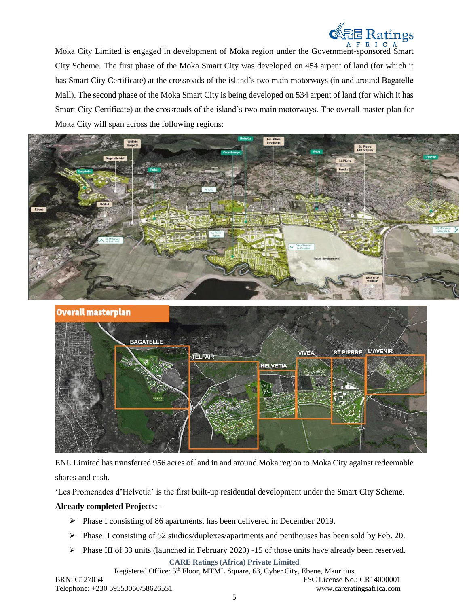

Moka City Limited is engaged in development of Moka region under the Government-sponsored Smart City Scheme. The first phase of the Moka Smart City was developed on 454 arpent of land (for which it has Smart City Certificate) at the crossroads of the island's two main motorways (in and around Bagatelle Mall). The second phase of the Moka Smart City is being developed on 534 arpent of land (for which it has Smart City Certificate) at the crossroads of the island's two main motorways. The overall master plan for Moka City will span across the following regions:





ENL Limited has transferred 956 acres of land in and around Moka region to Moka City against redeemable shares and cash.

'Les Promenades d'Helvetia' is the first built-up residential development under the Smart City Scheme.

#### **Already completed Projects: -**

- ➢ Phase I consisting of 86 apartments, has been delivered in December 2019.
- ➢ Phase II consisting of 52 studios/duplexes/apartments and penthouses has been sold by Feb. 20.
- ➢ Phase III of 33 units (launched in February 2020) -15 of those units have already been reserved.

**CARE Ratings (Africa) Private Limited**

Registered Office: 5<sup>th</sup> Floor, MTML Square, 63, Cyber City, Ebene, Mauritius

BRN: C127054 FSC License No.: CR14000001 Telephone: +230 59553060/58626551 www.careratingsafrica.com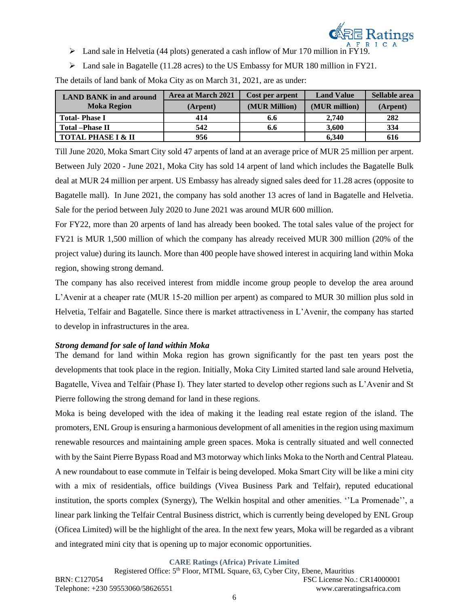

- $\triangleright$  Land sale in Helvetia (44 plots) generated a cash inflow of Mur 170 million in FY19.
- $\triangleright$  Land sale in Bagatelle (11.28 acres) to the US Embassy for MUR 180 million in FY21.

The details of land bank of Moka City as on March 31, 2021, are as under:

| <b>LAND BANK in and around</b> | Area at March 2021 | <b>Cost per arpent</b> | <b>Land Value</b> | Sellable area |
|--------------------------------|--------------------|------------------------|-------------------|---------------|
| <b>Moka Region</b>             | (Arpent)           | (MUR Million)          | (MUR million)     | (Arpent)      |
| <b>Total-Phase I</b>           | 414                | 6.6                    | 2.740             | 282           |
| <b>Total</b> - Phase II        | 542                | 6.6                    | 3.600             | 334           |
| <b>TOTAL PHASE I &amp; II</b>  | 956                |                        | 6.340             | 616           |

Till June 2020, Moka Smart City sold 47 arpents of land at an average price of MUR 25 million per arpent. Between July 2020 - June 2021, Moka City has sold 14 arpent of land which includes the Bagatelle Bulk deal at MUR 24 million per arpent. US Embassy has already signed sales deed for 11.28 acres (opposite to Bagatelle mall). In June 2021, the company has sold another 13 acres of land in Bagatelle and Helvetia. Sale for the period between July 2020 to June 2021 was around MUR 600 million.

For FY22, more than 20 arpents of land has already been booked. The total sales value of the project for FY21 is MUR 1,500 million of which the company has already received MUR 300 million (20% of the project value) during its launch. More than 400 people have showed interest in acquiring land within Moka region, showing strong demand.

The company has also received interest from middle income group people to develop the area around L'Avenir at a cheaper rate (MUR 15-20 million per arpent) as compared to MUR 30 million plus sold in Helvetia, Telfair and Bagatelle. Since there is market attractiveness in L'Avenir, the company has started to develop in infrastructures in the area.

#### *Strong demand for sale of land within Moka*

The demand for land within Moka region has grown significantly for the past ten years post the developments that took place in the region. Initially, Moka City Limited started land sale around Helvetia, Bagatelle, Vivea and Telfair (Phase I). They later started to develop other regions such as L'Avenir and St Pierre following the strong demand for land in these regions.

Moka is being developed with the idea of making it the leading real estate region of the island. The promoters, ENL Group is ensuring a harmonious development of all amenities in the region using maximum renewable resources and maintaining ample green spaces. Moka is centrally situated and well connected with by the Saint Pierre Bypass Road and M3 motorway which links Moka to the North and Central Plateau. A new roundabout to ease commute in Telfair is being developed. Moka Smart City will be like a mini city with a mix of residentials, office buildings (Vivea Business Park and Telfair), reputed educational institution, the sports complex (Synergy), The Welkin hospital and other amenities. ''La Promenade'', a linear park linking the Telfair Central Business district, which is currently being developed by ENL Group (Oficea Limited) will be the highlight of the area. In the next few years, Moka will be regarded as a vibrant and integrated mini city that is opening up to major economic opportunities.

**CARE Ratings (Africa) Private Limited**

Registered Office: 5th Floor, MTML Square, 63, Cyber City, Ebene, Mauritius BRN: C127054 FSC License No.: CR14000001 Telephone: +230 59553060/58626551 www.careratingsafrica.com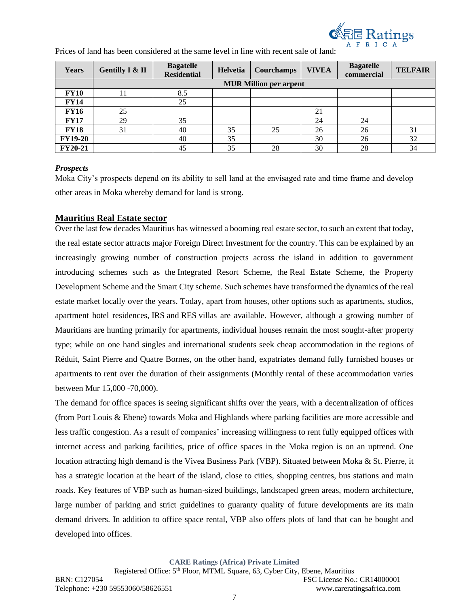

| Years          | <b>Gentilly I &amp; II</b>    | <b>Bagatelle</b><br><b>Residential</b> | Helvetia | Courchamps | <b>VIVEA</b> | <b>Bagatelle</b><br>commercial | <b>TELFAIR</b> |
|----------------|-------------------------------|----------------------------------------|----------|------------|--------------|--------------------------------|----------------|
|                | <b>MUR Million per arpent</b> |                                        |          |            |              |                                |                |
| <b>FY10</b>    |                               | 8.5                                    |          |            |              |                                |                |
| <b>FY14</b>    |                               | 25                                     |          |            |              |                                |                |
| <b>FY16</b>    | 25                            |                                        |          |            | 21           |                                |                |
| <b>FY17</b>    | 29                            | 35                                     |          |            | 24           | 24                             |                |
| <b>FY18</b>    | 31                            | 40                                     | 35       | 25         | 26           | 26                             | 31             |
| <b>FY19-20</b> |                               | 40                                     | 35       |            | 30           | 26                             | 32             |
| <b>FY20-21</b> |                               | 45                                     | 35       | 28         | 30           | 28                             | 34             |

Prices of land has been considered at the same level in line with recent sale of land:

#### *Prospects*

Moka City's prospects depend on its ability to sell land at the envisaged rate and time frame and develop other areas in Moka whereby demand for land is strong.

## **Mauritius Real Estate sector**

Over the last few decades Mauritius has witnessed a booming real estate sector, to such an extent that today, the real estate sector attracts major Foreign Direct Investment for the country. This can be explained by an increasingly growing number of construction projects across the island in addition to government introducing schemes such as the Integrated Resort Scheme, the Real Estate Scheme, the Property Development Scheme and the Smart City scheme. Such schemes have transformed the dynamics of the real estate market locally over the years. Today, apart from houses, other options such as apartments, studios, apartment hotel residences, [IRS](https://www.lexpressproperty.com/en/news-advice/invest/our-files/buying-an-irs-unit/) and [RES](https://www.lexpressproperty.com/en/news-advice/invest/our-files/buying-an-res/) villas are available. However, although a growing number of Mauritians are hunting primarily for apartments, individual houses remain the most sought-after property type; while on one hand singles and international students seek cheap accommodation in the regions of Réduit, Saint Pierre and Quatre Bornes, on the other hand, expatriates demand fully furnished houses or apartments to rent over the duration of their assignments (Monthly rental of these accommodation varies between Mur 15,000 -70,000).

The demand for office spaces is seeing significant shifts over the years, with a decentralization of offices (from Port Louis & Ebene) towards Moka and Highlands where parking facilities are more accessible and less traffic congestion. As a result of companies' increasing willingness to rent fully equipped offices with internet access and parking facilities, price of office spaces in the Moka region is on an uptrend. One location attracting high demand is the Vivea Business Park (VBP). Situated between Moka & St. Pierre, it has a strategic location at the heart of the island, close to cities, shopping centres, bus stations and main roads. Key features of VBP such as human-sized buildings, landscaped green areas, modern architecture, large number of parking and strict guidelines to guaranty quality of future developments are its main demand drivers. In addition to office space rental, VBP also offers plots of land that can be bought and developed into offices.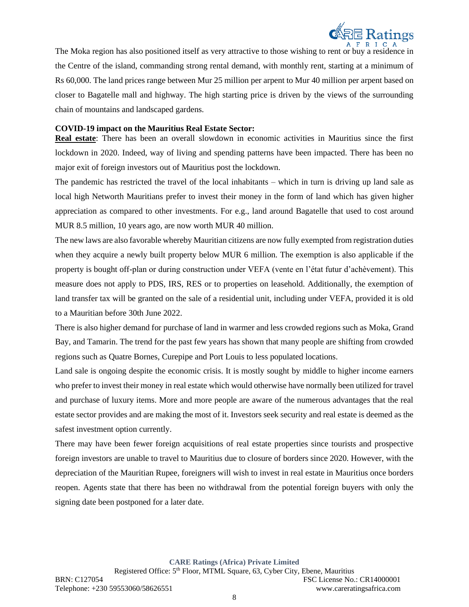

The Moka region has also positioned itself as very attractive to those wishing to rent or buy a residence in the Centre of the island, commanding strong rental demand, with monthly rent, starting at a minimum of Rs 60,000. The land prices range between Mur 25 million per arpent to Mur 40 million per arpent based on closer to Bagatelle mall and highway. The high starting price is driven by the views of the surrounding chain of mountains and landscaped gardens.

#### **COVID-19 impact on the Mauritius Real Estate Sector:**

**Real estate**: There has been an overall slowdown in economic activities in Mauritius since the first lockdown in 2020. Indeed, way of living and spending patterns have been impacted. There has been no major exit of foreign investors out of Mauritius post the lockdown.

The pandemic has restricted the travel of the local inhabitants – which in turn is driving up land sale as local high Networth Mauritians prefer to invest their money in the form of land which has given higher appreciation as compared to other investments. For e.g., land around Bagatelle that used to cost around MUR 8.5 million, 10 years ago, are now worth MUR 40 million.

The new laws are also favorable whereby Mauritian citizens are now fully exempted from registration duties when they acquire a newly built property below MUR 6 million. The exemption is also applicable if the property is bought off-plan or during construction under VEFA (vente en l'état futur d'achèvement). This measure does not apply to PDS, IRS, RES or to properties on leasehold. Additionally, the exemption of land transfer tax will be granted on the sale of a residential unit, including under VEFA, provided it is old to a Mauritian before 30th June 2022.

There is also higher demand for purchase of land in warmer and less crowded regions such as Moka, Grand Bay, and Tamarin. The trend for the past few years has shown that many people are shifting from crowded regions such as Quatre Bornes, Curepipe and Port Louis to less populated locations.

Land sale is ongoing despite the economic crisis. It is mostly sought by middle to higher income earners who prefer to invest their money in real estate which would otherwise have normally been utilized for travel and purchase of luxury items. More and more people are aware of the numerous advantages that the real estate sector provides and are making the most of it. Investors seek security and real estate is deemed as the safest investment option currently.

There may have been fewer foreign acquisitions of real estate properties since tourists and prospective foreign investors are unable to travel to Mauritius due to closure of borders since 2020. However, with the depreciation of the Mauritian Rupee, foreigners will wish to invest in real estate in Mauritius once borders reopen. Agents state that there has been no withdrawal from the potential foreign buyers with only the signing date been postponed for a later date.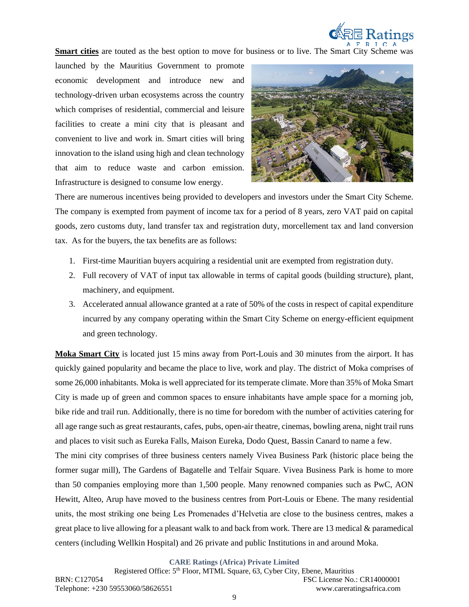

**Smart cities** are touted as the best option to move for business or to live. The Smart City Scheme was

launched by the Mauritius Government to promote economic development and introduce new and technology-driven urban ecosystems across the country which comprises of residential, commercial and leisure facilities to create a mini city that is pleasant and convenient to live and work in. Smart cities will bring innovation to the island using high and clean technology that aim to reduce waste and carbon emission. Infrastructure is designed to consume low energy.



There are numerous incentives being provided to developers and investors under the Smart City Scheme. The company is exempted from payment of income tax for a period of 8 years, zero VAT paid on capital goods, zero customs duty, land transfer tax and registration duty, morcellement tax and land conversion tax. As for the buyers, the tax benefits are as follows:

- 1. First-time Mauritian buyers acquiring a residential unit are exempted from registration duty.
- 2. Full recovery of VAT of input tax allowable in terms of capital goods (building structure), plant, machinery, and equipment.
- 3. Accelerated annual allowance granted at a rate of 50% of the costs in respect of capital expenditure incurred by any company operating within the Smart City Scheme on energy-efficient equipment and green technology.

**Moka Smart City** is located just 15 mins away from Port-Louis and 30 minutes from the airport. It has quickly gained popularity and became the place to live, work and play. The district of Moka comprises of some 26,000 inhabitants. Moka is well appreciated for its temperate climate. More than 35% of Moka Smart City is made up of green and common spaces to ensure inhabitants have ample space for a morning job, bike ride and trail run. Additionally, there is no time for boredom with the number of activities catering for all age range such as great restaurants, cafes, pubs, open-air theatre, cinemas, bowling arena, night trail runs and places to visit such as Eureka Falls, Maison Eureka, Dodo Quest, Bassin Canard to name a few. The mini city comprises of three business centers namely Vivea Business Park (historic place being the former sugar mill), The Gardens of Bagatelle and Telfair Square. Vivea Business Park is home to more than 50 companies employing more than 1,500 people. Many renowned companies such as PwC, AON Hewitt, Alteo, Arup have moved to the business centres from Port-Louis or Ebene. The many residential units, the most striking one being Les Promenades d'Helvetia are close to the business centres, makes a great place to live allowing for a pleasant walk to and back from work. There are 13 medical & paramedical centers (including Wellkin Hospital) and 26 private and public Institutions in and around Moka.

**CARE Ratings (Africa) Private Limited**

Registered Office: 5th Floor, MTML Square, 63, Cyber City, Ebene, Mauritius BRN: C127054 FSC License No.: CR14000001 Telephone: +230 59553060/58626551 www.careratingsafrica.com